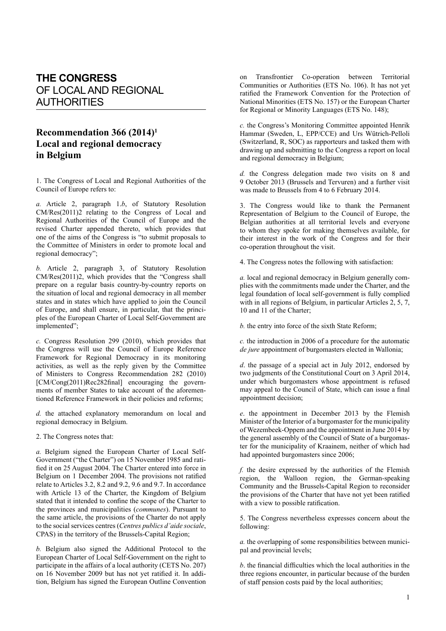## **THE CONGRESS** OF LOCAL AND REGIONAL AUTHORITIES

## **Recommendation 366 (2014)1 Local and regional democracy in Belgium**

1. The Congress of Local and Regional Authorities of the Council of Europe refers to:

*a.* Article 2, paragraph 1.*b*, of Statutory Resolution CM/Res(2011)2 relating to the Congress of Local and Regional Authorities of the Council of Europe and the revised Charter appended thereto, which provides that one of the aims of the Congress is "to submit proposals to the Committee of Ministers in order to promote local and regional democracy";

*b.* Article 2, paragraph 3, of Statutory Resolution CM/Res(2011)2, which provides that the "Congress shall prepare on a regular basis country-by-country reports on the situation of local and regional democracy in all member states and in states which have applied to join the Council of Europe, and shall ensure, in particular, that the principles of the European Charter of Local Self-Government are implemented";

*c.* Congress Resolution 299 (2010), which provides that the Congress will use the Council of Europe Reference Framework for Regional Democracy in its monitoring activities, as well as the reply given by the Committee of Ministers to Congress Recommendation 282 (2010) [CM/Cong(2011)Rec282final] encouraging the governments of member States to take account of the aforementioned Reference Framework in their policies and reforms;

*d.* the attached explanatory memorandum on local and regional democracy in Belgium.

2. The Congress notes that:

*a.* Belgium signed the European Charter of Local Self-Government ("the Charter") on 15 November 1985 and ratified it on 25 August 2004. The Charter entered into force in Belgium on 1 December 2004. The provisions not ratified relate to Articles 3.2, 8.2 and 9.2, 9.6 and 9.7. In accordance with Article 13 of the Charter, the Kingdom of Belgium stated that it intended to confine the scope of the Charter to the provinces and municipalities (*communes*). Pursuant to the same article, the provisions of the Charter do not apply to the social services centres (*Centres publics d'aide sociale*, CPAS) in the territory of the Brussels-Capital Region;

*b.* Belgium also signed the Additional Protocol to the European Charter of Local Self-Government on the right to participate in the affairs of a local authority (CETS No. 207) on 16 November 2009 but has not yet ratified it. In addition, Belgium has signed the European Outline Convention on Transfrontier Co-operation between Territorial Communities or Authorities (ETS No. 106). It has not yet ratified the Framework Convention for the Protection of National Minorities (ETS No. 157) or the European Charter for Regional or Minority Languages (ETS No. 148);

*c.* the Congress's Monitoring Committee appointed Henrik Hammar (Sweden, L, EPP/CCE) and Urs Wütrich-Pelloli (Switzerland, R, SOC) as rapporteurs and tasked them with drawing up and submitting to the Congress a report on local and regional democracy in Belgium;

*d.* the Congress delegation made two visits on 8 and 9 October 2013 (Brussels and Tervuren) and a further visit was made to Brussels from 4 to 6 February 2014.

3. The Congress would like to thank the Permanent Representation of Belgium to the Council of Europe, the Belgian authorities at all territorial levels and everyone to whom they spoke for making themselves available, for their interest in the work of the Congress and for their co-operation throughout the visit.

4. The Congress notes the following with satisfaction:

*a.* local and regional democracy in Belgium generally complies with the commitments made under the Charter, and the legal foundation of local self-government is fully complied with in all regions of Belgium, in particular Articles 2, 5, 7, 10 and 11 of the Charter;

*b.* the entry into force of the sixth State Reform;

*c.* the introduction in 2006 of a procedure for the automatic *de jure* appointment of burgomasters elected in Wallonia;

*d*. the passage of a special act in July 2012, endorsed by two judgments of the Constitutional Court on 3 April 2014, under which burgomasters whose appointment is refused may appeal to the Council of State, which can issue a final appointment decision;

*e*. the appointment in December 2013 by the Flemish Minister of the Interior of a burgomaster for the municipality of Wezembeek-Oppem and the appointment in June 2014 by the general assembly of the Council of State of a burgomaster for the municipality of Kraainem, neither of which had had appointed burgomasters since 2006;

*f.* the desire expressed by the authorities of the Flemish region, the Walloon region, the German-speaking Community and the Brussels-Capital Region to reconsider the provisions of the Charter that have not yet been ratified with a view to possible ratification.

5. The Congress nevertheless expresses concern about the following:

*a.* the overlapping of some responsibilities between municipal and provincial levels;

*b*. the financial difficulties which the local authorities in the three regions encounter, in particular because of the burden of staff pension costs paid by the local authorities;